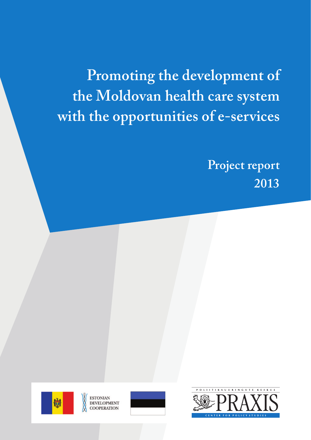**Promoting the development of the Moldovan health care system with the opportunities of e-services**

> **Project report 2013**





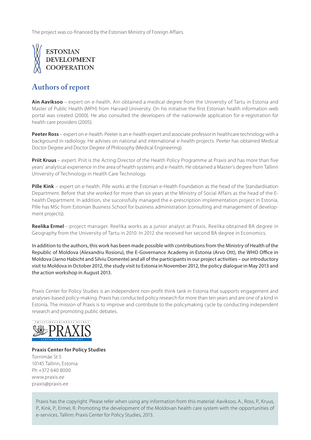The project was co-financed by the Estonian Ministry of Foreign Affairs.



## **Authors of report**

**Ain Aaviksoo** – expert on e-health. Ain obtained a medical degree from the University of Tartu in Estonia and Master of Public Health (MPH) from Harvard University. On his initiative the first Estonian health information web portal was created (2000). He also consulted the developers of the nationwide application for e-registration for health care providers (2005).

**Peeter Ross** – expert on e-health. Peeter is an e-health expert and associate professor in healthcare technology with a background in radiology. He advises on national and international e-health projects. Peeter has obtained Medical Doctor Degree and Doctor Degree of Philosophy (Medical Engineering).

**Priit Kruus** – expert. Priit is the Acting Director of the Health Policy Programme at Praxis and has more than five years' analytical experience in the area of health systems and e-health. He obtained a Master's degree from Tallinn University of Technology in Health Care Technology.

**Pille Kink** – expert on e-health. Pille works at the Estonian e-Health Foundation as the head of the Standardisation Department. Before that she worked for more than six years at the Ministry of Social Affairs as the head of the Ehealth Department. In addition, she successfully managed the e-prescription implementation project in Estonia. Pille has MSc from Estonian Business School for business administration (consulting and management of development projects).

**Reelika Ermel** – project manager. Reelika works as a junior analyst at Praxis. Reelika obtained BA degree in Geography from the University of Tartu in 2010. In 2012 she received her second BA degree in Economics.

In addition to the authors, this work has been made possible with contributions from the Ministry of Health of the Republic of Moldova (Alexandru Rosioru), the E-Governance Academy in Estonia (Arvo Ott), the WHO Office in Moldova (Jarno Habicht and Silviu Domente) and all of the participants in our project activities – our introductory visit to Moldova in October 2012, the study visit to Estonia in November 2012, the policy dialogue in May 2013 and the action workshop in August 2013.

Praxis Center for Policy Studies is an independent non-profit think tank in Estonia that supports engagement and analyses-based policy-making. Praxis has conducted policy research for more than ten years and are one of a kind in Estonia. The mission of Praxis is to improve and contribute to the policymaking cycle by conducting independent research and promoting public debates.



**Praxis Center for Policy Studies** Tornimäe St 5 10145 Tallinn, Estonia Ph +372 640 8000 www.praxis.ee praxis@praxis.ee

Praxis has the copyright. Please refer when using any information from this material: Aaviksoo, A., Ross, P., Kruus, P., Kink, P., Ermel, R. Promoting the development of the Moldovan health care system with the opportunities of e-services. Tallinn: Praxis Center for Policy Studies, 2013.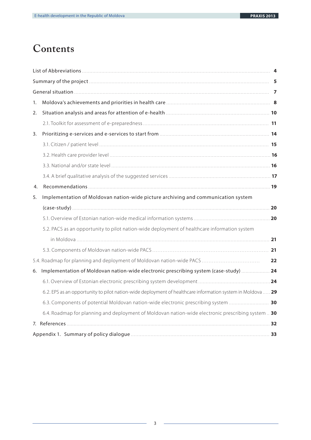# **Contents**

| 1. |                                                                                                            |    |  |  |
|----|------------------------------------------------------------------------------------------------------------|----|--|--|
| 2. |                                                                                                            |    |  |  |
|    |                                                                                                            |    |  |  |
| 3. |                                                                                                            |    |  |  |
|    |                                                                                                            |    |  |  |
|    |                                                                                                            |    |  |  |
|    |                                                                                                            |    |  |  |
|    |                                                                                                            |    |  |  |
| 4. |                                                                                                            |    |  |  |
| 5. | Implementation of Moldovan nation-wide picture archiving and communication system                          |    |  |  |
|    | $(case-study)$ 20                                                                                          |    |  |  |
|    |                                                                                                            |    |  |  |
|    | 5.2. PACS as an opportunity to pilot nation-wide deployment of healthcare information system               |    |  |  |
|    |                                                                                                            |    |  |  |
|    |                                                                                                            |    |  |  |
|    |                                                                                                            | 22 |  |  |
| 6. | Implementation of Moldovan nation-wide electronic prescribing system (case-study)  24                      |    |  |  |
|    |                                                                                                            |    |  |  |
|    | 6.2. EPS as an opportunity to pilot nation-wide deployment of healthcare information system in Moldova  29 |    |  |  |
|    | 6.3. Components of potential Moldovan nation-wide electronic prescribing system  30                        |    |  |  |
|    | 6.4. Roadmap for planning and deployment of Moldovan nation-wide electronic prescribing system  30         |    |  |  |
|    |                                                                                                            |    |  |  |
|    |                                                                                                            |    |  |  |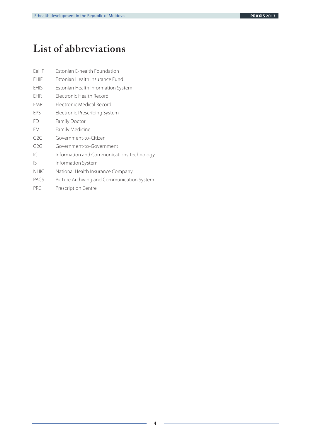## **List of abbreviations**

- EeHF Estonian E-health Foundation
- EHIF Estonian Health Insurance Fund
- EHIS Estonian Health Information System
- EHR Electronic Health Record
- EMR Electronic Medical Record
- EPS Electronic Prescribing System
- FD Family Doctor
- FM Family Medicine
- G2C Government-to-Citizen
- G2G Government-to-Government
- ICT Information and Communications Technology
- IS Information System
- NHIC National Health Insurance Company
- PACS Picture Archiving and Communication System
- PRC Prescription Centre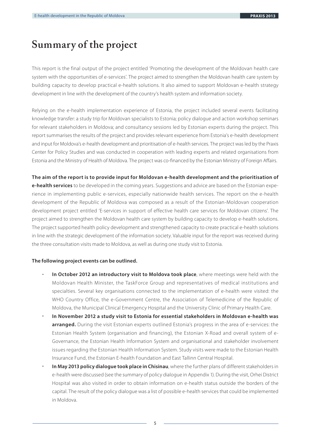## **Summary of the project**

This report is the final output of the project entitled 'Promoting the development of the Moldovan health care system with the opportunities of e-services'. The project aimed to strengthen the Moldovan health care system by building capacity to develop practical e-health solutions. It also aimed to support Moldovan e-health strategy development in line with the development of the country's health system and information society.

Relying on the e-health implementation experience of Estonia, the project included several events facilitating knowledge transfer: a study trip for Moldovan specialists to Estonia; policy dialogue and action workshop seminars for relevant stakeholders in Moldova; and consultancy sessions led by Estonian experts during the project. This report summarises the results of the project and provides relevant experience from Estonia's e-health development and input for Moldova's e-health development and prioritisation of e-health services. The project was led by the Praxis Center for Policy Studies and was conducted in cooperation with leading experts and related organisations from Estonia and the Ministry of Health of Moldova. The project was co-financed by the Estonian Ministry of Foreign Affairs.

**The aim of the report is to provide input for Moldovan e-health development and the prioritisation of e-health services** to be developed in the coming years. Suggestions and advice are based on the Estonian experience in implementing public e-services, especially nationwide health services. The report on the e-health development of the Republic of Moldova was composed as a result of the Estonian-Moldovan cooperation development project entitled 'E-services in support of effective health care services for Moldovan citizens'. The project aimed to strengthen the Moldovan health care system by building capacity to develop e-health solutions. The project supported health policy development and strengthened capacity to create practical e-health solutions in line with the strategic development of the information society. Valuable input for the report was received during the three consultation visits made to Moldova, as well as during one study visit to Estonia.

#### **The following project events can be outlined.**

•

- **In October 2012 an introductory visit to Moldova took place**, where meetings were held with the Moldovan Health Minister, the TaskForce Group and representatives of medical institutions and specialties. Several key organisations connected to the implementation of e-health were visited: the WHO Country Office, the e-Government Centre, the Association of Telemedicine of the Republic of Moldova, the Municipal Clinical Emergency Hospital and the University Clinic of Primary Health Care. •
- **In November 2012 a study visit to Estonia for essential stakeholders in Moldovan e-health was arranged.** During the visit Estonian experts outlined Estonia's progress in the area of e-services: the Estonian Health System (organisation and financing), the Estonian X-Road and overall system of e-Governance, the Estonian Health Information System and organisational and stakeholder involvement issues regarding the Estonian Health Information System. Study visits were made to the Estonian Health Insurance Fund, the Estonian E-health Foundation and East Tallinn Central Hospital.
- **In May 2013 policy dialogue took place in Chisinau**, where the further plans of different stakeholders in e-health were discussed (see the summary of policy dialogue in Appendix 1). During the visit, Orhei District Hospital was also visited in order to obtain information on e-health status outside the borders of the capital. The result of the policy dialogue was a list of possible e-health services that could be implemented in Moldova. •

5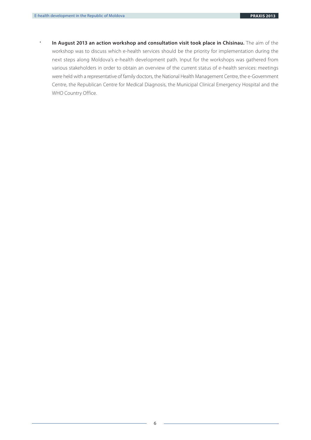•

**In August 2013 an action workshop and consultation visit took place in Chisinau.** The aim of the workshop was to discuss which e-health services should be the priority for implementation during the next steps along Moldova's e-health development path. Input for the workshops was gathered from various stakeholders in order to obtain an overview of the current status of e-health services: meetings were held with a representative of family doctors, the National Health Management Centre, the e-Government Centre, the Republican Centre for Medical Diagnosis, the Municipal Clinical Emergency Hospital and the WHO Country Office.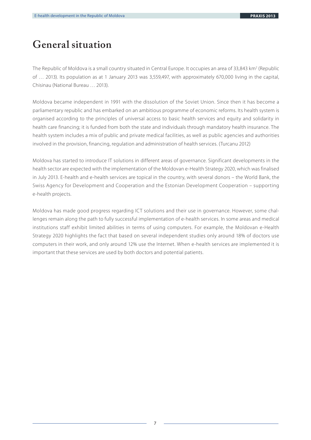# **General situation**

The Republic of Moldova is a small country situated in Central Europe. It occupies an area of 33,843 km<sup>2</sup> (Republic of … 2013). Its population as at 1 January 2013 was 3,559,497, with approximately 670,000 living in the capital, Chisinau (National Bureau … 2013).

Moldova became independent in 1991 with the dissolution of the Soviet Union. Since then it has become a parliamentary republic and has embarked on an ambitious programme of economic reforms. Its health system is organised according to the principles of universal access to basic health services and equity and solidarity in health care financing; it is funded from both the state and individuals through mandatory health insurance. The health system includes a mix of public and private medical facilities, as well as public agencies and authorities involved in the provision, financing, regulation and administration of health services. (Turcanu 2012)

Moldova has started to introduce IT solutions in different areas of governance. Significant developments in the health sector are expected with the implementation of the Moldovan e-Health Strategy 2020, which was finalised in July 2013. E-health and e-health services are topical in the country, with several donors – the World Bank, the Swiss Agency for Development and Cooperation and the Estonian Development Cooperation – supporting e-health projects.

Moldova has made good progress regarding ICT solutions and their use in governance. However, some challenges remain along the path to fully successful implementation of e-health services. In some areas and medical institutions staff exhibit limited abilities in terms of using computers. For example, the Moldovan e-Health Strategy 2020 highlights the fact that based on several independent studies only around 18% of doctors use computers in their work, and only around 12% use the Internet. When e-health services are implemented it is important that these services are used by both doctors and potential patients.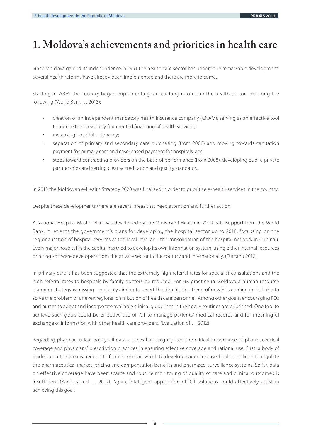# **1. Moldova's achievements and priorities in health care**

Since Moldova gained its independence in 1991 the health care sector has undergone remarkable development. Several health reforms have already been implemented and there are more to come.

Starting in 2004, the country began implementing far-reaching reforms in the health sector, including the following (World Bank … 2013):

- creation of an independent mandatory health insurance company (CNAM), serving as an effective tool to reduce the previously fragmented financing of health services; •
- increasing hospital autonomy; •
- separation of primary and secondary care purchasing (from 2008) and moving towards capitation payment for primary care and case-based payment for hospitals; and •
- steps toward contracting providers on the basis of performance (from 2008), developing public-private partnerships and setting clear accreditation and quality standards. •

In 2013 the Moldovan e-Health Strategy 2020 was finalised in order to prioritise e-health services in the country.

Despite these developments there are several areas that need attention and further action.

A National Hospital Master Plan was developed by the Ministry of Health in 2009 with support from the World Bank. It reflects the government's plans for developing the hospital sector up to 2018, focussing on the regionalisation of hospital services at the local level and the consolidation of the hospital network in Chisinau. Every major hospital in the capital has tried to develop its own information system, using either internal resources or hiring software developers from the private sector in the country and internationally. (Turcanu 2012)

In primary care it has been suggested that the extremely high referral rates for specialist consultations and the high referral rates to hospitals by family doctors be reduced. For FM practice in Moldova a human resource planning strategy is missing – not only aiming to revert the diminishing trend of new FDs coming in, but also to solve the problem of uneven regional distribution of health care personnel. Among other goals, encouraging FDs and nurses to adopt and incorporate available clinical guidelines in their daily routines are prioritised. One tool to achieve such goals could be effective use of ICT to manage patients' medical records and for meaningful exchange of information with other health care providers. (Evaluation of … 2012)

Regarding pharmaceutical policy, all data sources have highlighted the critical importance of pharmaceutical coverage and physicians' prescription practices in ensuring effective coverage and rational use. First, a body of evidence in this area is needed to form a basis on which to develop evidence-based public policies to regulate the pharmaceutical market, pricing and compensation benefits and pharmaco-surveillance systems. So far, data on effective coverage have been scarce and routine monitoring of quality of care and clinical outcomes is insufficient (Barriers and … 2012). Again, intelligent application of ICT solutions could effectively assist in achieving this goal.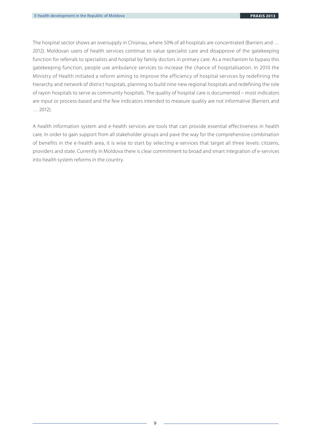The hospital sector shows an oversupply in Chisinau, where 50% of all hospitals are concentrated (Barriers and … 2012). Moldovan users of health services continue to value specialist care and disapprove of the gatekeeping function for referrals to specialists and hospital by family doctors in primary care. As a mechanism to bypass this gatekeeping function, people use ambulance services to increase the chance of hospitalisation. In 2010 the Ministry of Health initiated a reform aiming to improve the efficiency of hospital services by redefining the hierarchy and network of district hospitals, planning to build nine new regional hospitals and redefining the role of rayon hospitals to serve as community hospitals. The quality of hospital care is documented – most indicators are input or process-based and the few indicators intended to measure quality are not informative (Barriers and … 2012).

A health information system and e-health services are tools that can provide essential effectiveness in health care. In order to gain support from all stakeholder groups and pave the way for the comprehensive combination of benefits in the e-health area, it is wise to start by selecting e-services that target all three levels: citizens, providers and state. Currently in Moldova there is clear commitment to broad and smart integration of e-services into health system reforms in the country.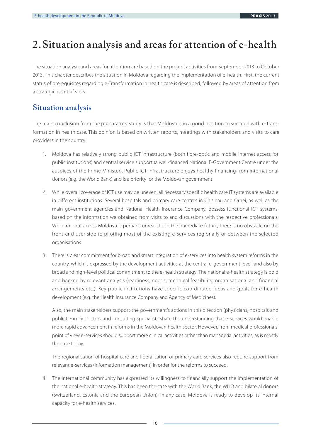# **2. Situation analysis and areas for attention of e-health**

The situation analysis and areas for attention are based on the project activities from September 2013 to October 2013. This chapter describes the situation in Moldova regarding the implementation of e-health. First, the current status of prerequisites regarding e-Transformation in health care is described, followed by areas of attention from a strategic point of view.

### **Situation analysis**

The main conclusion from the preparatory study is that Moldova is in a good position to succeed with e-Transformation in health care. This opinion is based on written reports, meetings with stakeholders and visits to care providers in the country.

- Moldova has relatively strong public ICT infrastructure (both fibre-optic and mobile Internet access for 1. public institutions) and central service support (a well-financed National E-Government Centre under the auspices of the Prime Minister). Public ICT infrastructure enjoys healthy financing from international donors (e.g. the World Bank) and is a priority for the Moldovan government.
- 2. While overall coverage of ICT use may be uneven, all necessary specific health care IT systems are available in different institutions. Several hospitals and primary care centres in Chisinau and Orhei, as well as the main government agencies and National Health Insurance Company, possess functional ICT systems, based on the information we obtained from visits to and discussions with the respective professionals. While roll-out across Moldova is perhaps unrealistic in the immediate future, there is no obstacle on the front-end user side to piloting most of the existing e-services regionally or between the selected organisations.
- There is clear commitment for broad and smart integration of e-services into health system reforms in the 3. country, which is expressed by the development activities at the central e-government level, and also by broad and high-level political commitment to the e-health strategy. The national e-health strategy is bold and backed by relevant analysis (readiness, needs, technical feasibility, organisational and financial arrangements etc.). Key public institutions have specific coordinated ideas and goals for e-health development (e.g. the Health Insurance Company and Agency of Medicines).

Also, the main stakeholders support the government's actions in this direction (physicians, hospitals and public). Family doctors and consulting specialists share the understanding that e-services would enable more rapid advancement in reforms in the Moldovan health sector. However, from medical professionals' point of view e-services should support more clinical activities rather than managerial activities, as is mostly the case today.

The regionalisation of hospital care and liberalisation of primary care services also require support from relevant e-services (information management) in order for the reforms to succeed.

The international community has expressed its willingness to financially support the implementation of 4. the national e-health strategy. This has been the case with the World Bank, the WHO and bilateral donors (Switzerland, Estonia and the European Union). In any case, Moldova is ready to develop its internal capacity for e-health services.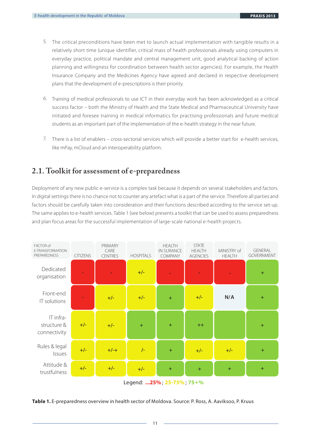- 5. The critical preconditions have been met to launch actual implementation with tangible results in a relatively short time (unique identifier, critical mass of health professionals already using computers in everyday practice, political mandate and central management unit, good analytical backing of action planning and willingness for coordination between health sector agencies). For example, the Health Insurance Company and the Medicines Agency have agreed and declared in respective development plans that the development of e-prescriptions is their priority.
- Training of medical professionals to use ICT in their everyday work has been acknowledged as a critical 6. success factor – both the Ministry of Health and the State Medical and Pharmaceutical University have initiated and foresee training in medical informatics for practising professionals and future medical students as an important part of the implementation of the e-health strategy in the near future.
- 7. There is a list of enablers cross-sectorial services which will provide a better start for e-health services, like mPay, mCloud and an interoperability platform.

## **2.1. Toolkit for assessment of e-preparedness**

Deployment of any new public e-service is a complex task because it depends on several stakeholders and factors. In digital settings there is no chance not to counter any artefact what is a part of the service. Therefore all parties and factors should be carefully taken into consideration and their functions described according to the service set-up. The same applies to e-health services. Table 1 (see below) presents a toolkit that can be used to assess preparedness and plan focus areas for the successful implementation of large-scale national e-health projects.



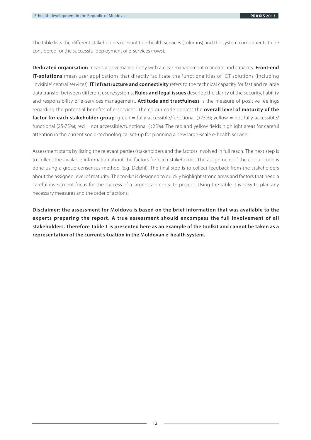The table lists the different stakeholders relevant to e-health services (columns) and the system components to be considered for the successful deployment of e-services (rows).

**Dedicated organisation** means a governance body with a clear management mandate and capacity. **Front-end IT-solutions** mean user applications that directly facilitate the functionalities of ICT solutions (including 'invisible' central services). **IT infrastructure and connectivity** refers to the technical capacity for fast and reliable data transfer between different users/systems. **Rules and legal issues** describe the clarity of the security, liability and responsibility of e-services management. **Attitude and trustfulness** is the measure of positive feelings regarding the potential benefits of e-services. The colour code depicts the **overall level of maturity of the factor for each stakeholder group**: green = fully accessible/functional (>75%); yellow = not fully accessible/ functional (25-75%); red = not accessible/functional (<25%). The red and yellow fields highlight areas for careful attention in the current socio-technological set-up for planning a new large-scale e-health service.

Assessment starts by listing the relevant parties/stakeholders and the factors involved in full reach. The next step is to collect the available information about the factors for each stakeholder. The assignment of the colour code is done using a group consensus method (e.g. Delphi). The final step is to collect feedback from the stakeholders about the assigned level of maturity. The toolkit is designed to quickly highlight strong areas and factors that need a careful investment focus for the success of a large-scale e-health project. Using the table it is easy to plan any necessary measures and the order of actions.

**Disclaimer: the assessment for Moldova is based on the brief information that was available to the experts preparing the report. A true assessment should encompass the full involvement of all stakeholders. Therefore Table 1 is presented here as an example of the toolkit and cannot be taken as a representation of the current situation in the Moldovan e-health system.**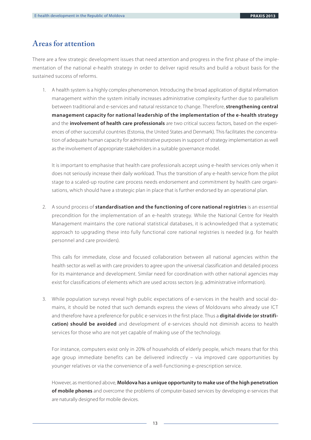### **Areas for attention**

There are a few strategic development issues that need attention and progress in the first phase of the implementation of the national e-health strategy in order to deliver rapid results and build a robust basis for the sustained success of reforms.

A health system is a highly complex phenomenon. Introducing the broad application of digital information 1. management within the system initially increases administrative complexity further due to parallelism between traditional and e-services and natural resistance to change. Therefore, **strengthening central management capacity for national leadership of the implementation of the e-health strategy** and the **involvement of health care professionals** are two critical success factors, based on the experiences of other successful countries (Estonia, the United States and Denmark). This facilitates the concentration of adequate human capacity for administrative purposes in support of strategy implementation as well as the involvement of appropriate stakeholders in a suitable governance model.

It is important to emphasise that health care professionals accept using e-health services only when it does not seriously increase their daily workload. Thus the transition of any e-health service from the pilot stage to a scaled-up routine care process needs endorsement and commitment by health care organisations, which should have a strategic plan in place that is further endorsed by an operational plan.

A sound process of **standardisation and the functioning of core national registries** is an essential 2. precondition for the implementation of an e-health strategy. While the National Centre for Health Management maintains the core national statistical databases, it is acknowledged that a systematic approach to upgrading these into fully functional core national registries is needed (e.g. for health personnel and care providers).

This calls for immediate, close and focused collaboration between all national agencies within the health sector as well as with care providers to agree upon the universal classification and detailed process for its maintenance and development. Similar need for coordination with other national agencies may exist for classifications of elements which are used across sectors (e.g. administrative information).

While population surveys reveal high public expectations of e-services in the health and social do-3. mains, it should be noted that such demands express the views of Moldovans who already use ICT and therefore have a preference for public e-services in the first place. Thus a **digital divide (or stratification) should be avoided** and development of e-services should not diminish access to health services for those who are not yet capable of making use of the technology.

For instance, computers exist only in 20% of households of elderly people, which means that for this age group immediate benefits can be delivered indirectly – via improved care opportunities by younger relatives or via the convenience of a well-functioning e-prescription service.

However, as mentioned above, **Moldova has a unique opportunity to make use of the high penetration of mobile phones** and overcome the problems of computer-based services by developing e-services that are naturally designed for mobile devices.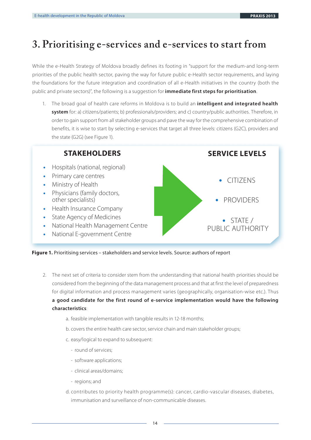## **3. Prioritising e-services and e-services to start from**

While the e-Health Strategy of Moldova broadly defines its footing in "support for the medium-and long-term priorities of the public health sector, paving the way for future public e-Health sector requirements, and laying the foundations for the future integration and coordination of all e-Health initiatives in the country (both the public and private sectors)", the following is a suggestion for **immediate first steps for prioritisation**.

The broad goal of health care reforms in Moldova is to build an **intelligent and integrated health**  1. **system** for: a) citizens/patients; b) professionals/providers; and c) country/public authorities. Therefore, in order to gain support from all stakeholder groups and pave the way for the comprehensive combination of benefits, it is wise to start by selecting e-services that target all three levels: citizens (G2C), providers and the state (G2G) (see Figure 1).



**Figure 1.** Prioritising services – stakeholders and service levels. Source: authors of report

- The next set of criteria to consider stem from the understanding that national health priorities should be 2. considered from the beginning of the data management process and that at first the level of preparedness for digital information and process management varies (geographically, organisation-wise etc.). Thus **a good candidate for the first round of e-service implementation would have the following characteristics**:
	- a. feasible implementation with tangible results in 12-18 months;
	- b. covers the entire health care sector, service chain and main stakeholder groups;
	- c. easy/logical to expand to subsequent:
		- round of services;
		- software applications;
		- clinical areas/domains;
		- regions; and
	- d. contributes to priority health programme(s): cancer, cardio-vascular diseases, diabetes, immunisation and surveillance of non-communicable diseases.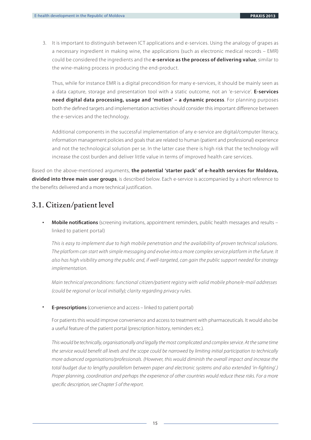3. It is important to distinguish between ICT applications and e-services. Using the analogy of grapes as a necessary ingredient in making wine, the applications (such as electronic medical records – EMR) could be considered the ingredients and the **e-service as the process of delivering value**, similar to the wine-making process in producing the end-product.

Thus, while for instance EMR is a digital precondition for many e-services, it should be mainly seen as a data capture, storage and presentation tool with a static outcome, not an 'e-service'. **E-services need digital data processing, usage and 'motion' – a dynamic process**. For planning purposes both the defined targets and implementation activities should consider this important difference between the e-services and the technology.

Additional components in the successful implementation of any e-service are digital/computer literacy, information management policies and goals that are related to human (patient and professional) experience and not the technological solution per se. In the latter case there is high risk that the technology will increase the cost burden and deliver little value in terms of improved health care services.

Based on the above-mentioned arguments, **the potential 'starter pack' of e-health services for Moldova, divided into three main user groups**, is described below. Each e-service is accompanied by a short reference to the benefits delivered and a more technical justification.

## **3.1. Citizen/patient level**

**Mobile notifications** (screening invitations, appointment reminders, public health messages and results linked to patient portal) **•**

This is easy to implement due to high mobile penetration and the availability of proven technical solutions. The platform can start with simple messaging and evolve into a more complex service platform in the future. It also has high visibility among the public and, if well-targeted, can gain the public support needed for strategy implementation.

Main technical preconditions: functional citizen/patient registry with valid mobile phone/e-mail addresses (could be regional or local initially); clarity regarding privacy rules.

**E-prescriptions** (convenience and access – linked to patient portal) **•**

For patients this would improve convenience and access to treatment with pharmaceuticals. It would also be a useful feature of the patient portal (prescription history, reminders etc.).

This would be technically, organisationally and legally the most complicated and complex service. At the same time the service would benefit all levels and the scope could be narrowed by limiting initial participation to technically more advanced organisations/professionals. (However, this would diminish the overall impact and increase the total budget due to lengthy parallelism between paper and electronic systems and also extended 'in-fighting'.) Proper planning, coordination and perhaps the experience of other countries would reduce these risks. For a more specific description, see Chapter 5 of the report.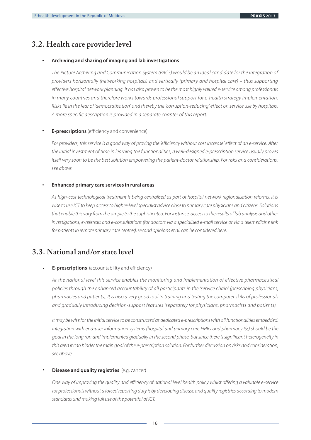### **3.2. Health care provider level**

#### **Archiving and sharing of imaging and lab investigations •**

The Picture Archiving and Communication System (PACS) would be an ideal candidate for the integration of providers horizontally (networking hospitals) and vertically (primary and hospital care) – thus supporting effective hospital network planning. It has also proven to be the most highly valued e-service among professionals in many countries and therefore works towards professional support for e-health strategy implementation. Risks lie in the fear of 'democratisation' and thereby the 'corruption-reducing' effect on service use by hospitals. A more specific description is provided in a separate chapter of this report.

#### **E-prescriptions** (efficiency and convenience) **•**

For providers, this service is a good way of proving the 'efficiency without cost increase' effect of an e-service. After the initial investment of time in learning the functionalities, a well-designed e-prescription service usually proves itself very soon to be the best solution empowering the patient-doctor relationship. For risks and considerations, see above.

#### **Enhanced primary care services in rural areas •**

As high-cost technological treatment is being centralised as part of hospital network regionalisation reforms, it is wise to use ICT to keep access to higher-level specialist advice close to primary care physicians and citizens. Solutions that enable this vary from the simple to the sophisticated. For instance, access to the results of lab analysis and other investigations, e-referrals and e-consultations (for doctors via a specialised e-mail service or via a telemedicine link for patients in remote primary care centres), second opinions et al. can be considered here.

### **3.3. National and/or state level**

#### **E-prescriptions** (accountability and efficiency) **•**

At the national level this service enables the monitoring and implementation of effective pharmaceutical policies through the enhanced accountability of all participants in the 'service chain' (prescribing physicians, pharmacies and patients). It is also a very good tool in training and testing the computer skills of professionals and gradually introducing decision-support features (separately for physicians, pharmacists and patients).

It may be wise for the initial service to be constructed as dedicated e-prescriptions with all functionalities embedded. Integration with end-user information systems (hospital and primary care EMRs and pharmacy ISs) should be the goal in the long run and implemented gradually in the second phase, but since there is significant heterogeneity in this area it can hinder the main goal of the e-prescription solution. For further discussion on risks and consideration, see above.

#### **Disease and quality registries** (e.g. cancer) **•**

One way of improving the quality and efficiency of national level health policy whilst offering a valuable e-service for professionals without a forced reporting duty is by developing disease and quality registries according to modern standards and making full use of the potential of ICT.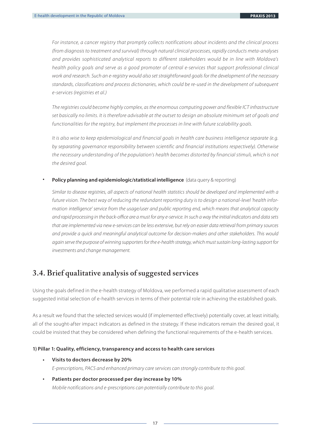For instance, a cancer registry that promptly collects notifications about incidents and the clinical process (from diagnosis to treatment and survival) through natural clinical processes, rapidly conducts meta-analyses and provides sophisticated analytical reports to different stakeholders would be in line with Moldova's health policy goals and serve as a good promoter of central e-services that support professional clinical work and research. Such an e-registry would also set straightforward goals for the development of the necessary standards, classifications and process dictionaries, which could be re-used in the development of subsequent e-services (registries et al.)

The registries could become highly complex, as the enormous computing power and flexible ICT infrastructure set basically no limits. It is therefore advisable at the outset to design an absolute minimum set of goals and functionalities for the registry, but implement the processes in line with future scalability goals.

It is also wise to keep epidemiological and financial goals in health care business intelligence separate (e.g. by separating governance responsibility between scientific and financial institutions respectively). Otherwise the necessary understanding of the population's health becomes distorted by financial stimuli, which is not the desired goal.

**Policy planning and epidemiologic/statistical intelligence** (data query & reporting) **•**

Similar to disease registries, all aspects of national health statistics should be developed and implemented with a future vision. The best way of reducing the redundant reporting duty is to design a national-level 'health information intelligence' service from the usage/user and public reporting end, which means that analytical capacity and rapid processing in the back-office are a must for any e-service. In such a way the initial indicators and data sets that are implemented via new e-services can be less extensive, but rely on easier data retrieval from primary sources and provide a quick and meaningful analytical outcome for decision-makers and other stakeholders. This would again serve the purpose of winning supporters for the e-health strategy, which must sustain long-lasting support for investments and change management.

### **3.4. Brief qualitative analysis of suggested services**

Using the goals defined in the e-health strategy of Moldova, we performed a rapid qualitative assessment of each suggested initial selection of e-health services in terms of their potential role in achieving the established goals.

As a result we found that the selected services would (if implemented effectively) potentially cover, at least initially, all of the sought-after impact indicators as defined in the strategy. If these indicators remain the desired goal, it could be insisted that they be considered when defining the functional requirements of the e-health services.

#### **1) Pillar 1: Quality, efficiency, transparency and access to health care services**

**Visits to doctors decrease by 20%** E-prescriptions, PACS and enhanced primary care services can strongly contribute to this goal. **•**

#### **Patients per doctor processed per day increase by 10%** Mobile notifications and e-prescriptions can potentially contribute to this goal. **•**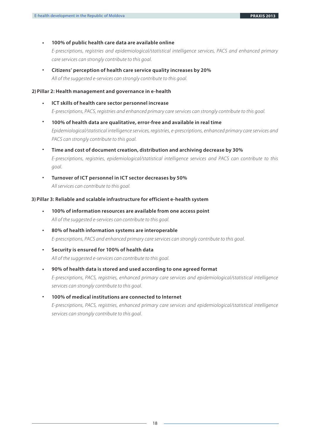#### **100% of public health care data are available online •**

E-prescriptions, registries and epidemiological/statistical intelligence services, PACS and enhanced primary care services can strongly contribute to this goal.

**Citizens' perception of health care service quality increases by 20%** All of the suggested e-services can strongly contribute to this goal. **•** 

**2) Pillar 2: Health management and governance in e-health**

- **ICT skills of health care sector personnel increase** E-prescriptions, PACS, registries and enhanced primary care services can strongly contribute to this goal. **•**
- **100% of health data are qualitative, error-free and available in real time** Epidemiological/statistical intelligence services, registries, e-prescriptions, enhanced primary care services and PACS can strongly contribute to this goal. **•**
- **Time and cost of document creation, distribution and archiving decrease by 30%**  E-prescriptions, registries, epidemiological/statistical intelligence services and PACS can contribute to this goal. **•**
- **Turnover of ICT personnel in ICT sector decreases by 50%**  All services can contribute to this goal. **•**

#### **3) Pillar 3: Reliable and scalable infrastructure for efficient e-health system**

- **100% of information resources are available from one access point** All of the suggested e-services can contribute to this goal. **•**
- **80% of health information systems are interoperable** E-prescriptions, PACS and enhanced primary care services can strongly contribute to this goal. **•**
- **Security is ensured for 100% of health data**  All of the suggested e-services can contribute to this goal. **•**
- **90% of health data is stored and used according to one agreed format** E-prescriptions, PACS, registries, enhanced primary care services and epidemiological/statistical intelligence services can strongly contribute to this goal. **•**
- **100% of medical institutions are connected to Internet** E-prescriptions, PACS, registries, enhanced primary care services and epidemiological/statistical intelligence services can strongly contribute to this goal. **•**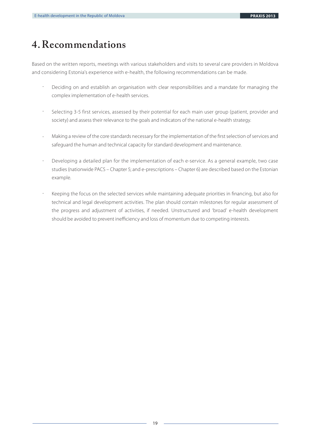# **4. Recommendations**

Based on the written reports, meetings with various stakeholders and visits to several care providers in Moldova and considering Estonia's experience with e-health, the following recommendations can be made.

- Deciding on and establish an organisation with clear responsibilities and a mandate for managing the complex implementation of e-health services. -
- Selecting 3-5 first services, assessed by their potential for each main user group (patient, provider and society) and assess their relevance to the goals and indicators of the national e-health strategy. -
- Making a review of the core standards necessary for the implementation of the first selection of services and safeguard the human and technical capacity for standard development and maintenance. -
- Developing a detailed plan for the implementation of each e-service. As a general example, two case studies (nationwide PACS – Chapter 5; and e-prescriptions – Chapter 6) are described based on the Estonian example. -
- Keeping the focus on the selected services while maintaining adequate priorities in financing, but also for technical and legal development activities. The plan should contain milestones for regular assessment of the progress and adjustment of activities, if needed. Unstructured and 'broad' e-health development should be avoided to prevent inefficiency and loss of momentum due to competing interests. -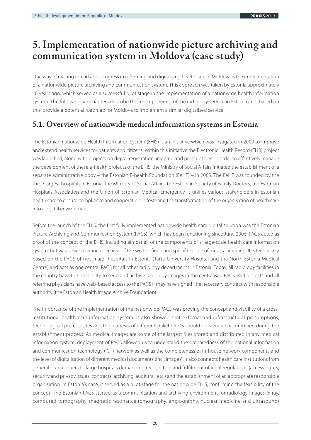## **5. Implementation of nationwide picture archiving and communication system in Moldova (case study)**

One way of making remarkable progress in reforming and digitalising health care in Moldova is the implementation of a nationwide picture archiving and communication system. This approach was taken by Estonia approximately 10 years ago, which served as a successful pilot stage in the implementation of a nationwide health information system. The following subchapters describe the re-engineering of the radiology service in Estonia and, based on this, provide a potential roadmap for Moldova to implement a similar digitalised service.

## **5.1. Overview of nationwide medical information systems in Estonia**

The Estonian nationwide Health Information System (EHIS) is an initiative which was instigated in 2000 to improve and extend health services for patients and citizens. Within this initiative the Electronic Health Record (EHR) project was launched, along with projects on digital registration, imaging and prescriptions. In order to effectively manage the development of these e-health projects of the EHIS, the Ministry of Social Affairs initiated the establishment of a separate administrative body – the Estonian E-health Foundation (EeHF) – in 2005. The EeHF was founded by the three largest hospitals in Estonia, the Ministry of Social Affairs, the Estonian Society of Family Doctors, the Estonian Hospitals Association and the Union of Estonian Medical Emergency. It unifies various stakeholders in Estonian health care to ensure compliance and cooperation in fostering the transformation of the organisation of health care into a digital environment.

Before the launch of the EHIS, the first fully implemented nationwide health care digital solution was the Estonian Picture Archiving and Communication System (PACS), which has been functioning since June 2006. PACS acted as proof of the concept of the EHIS, including almost all of the components of a large-scale health care information system, but was easier to launch because of the well-defined and specific scope of medical imaging. It is technically based on the PACS of two major hospitals in Estonia (Tartu University Hospital and the North Estonia Medical Centre) and acts as one central PACS for all other radiology departments in Estonia. Today, all radiology facilities in the country have the possibility to send and archive radiology images in the centralised PACS. Radiologists and all referring physicians have web-based access to the PACS if they have signed the necessary contract with responsible authority (the Estonian Health Image Archive Foundation).

The importance of the implementation of the nationwide PACS was proving the concept and viability of a crossinstitutional health care information system. It also showed that external and infrastructural presumptions, technological prerequisites and the interests of different stakeholders should be favourably combined during the establishment process. As medical images are some of the largest files stored and distributed in any medical information system, deployment of PACS allowed us to understand the preparedness of the national information and communication technology (ICT) network as well as the completeness of in-house network components and the level of digitalisation of different medical documents (incl. images). It also connects health care institutions from general practitioners to large hospitals demanding recognition and fulfilment of legal regulations (access rights, security and privacy issues, contracts, archiving, audit trail etc.) and the establishment of an appropriate responsible organisation. In Estonia's case, it served as a pilot stage for the nationwide EHIS, confirming the feasibility of the concept. The Estonian PACS started as a communication and archiving environment for radiology images (x-ray, computed tomography, magnetic resonance tomography, angiography, nuclear medicine and ultrasound)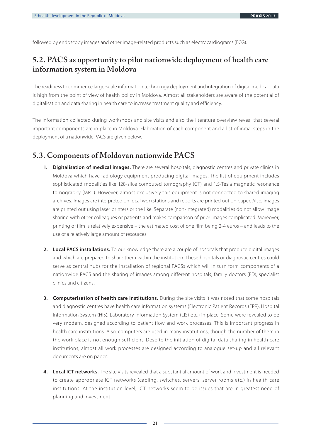followed by endoscopy images and other image-related products such as electrocardiograms (ECG).

## **5.2. PACS as opportunity to pilot nationwide deployment of health care information system in Moldova**

The readiness to commence large-scale information technology deployment and integration of digital medical data is high from the point of view of health policy in Moldova. Almost all stakeholders are aware of the potential of digitalisation and data sharing in health care to increase treatment quality and efficiency.

The information collected during workshops and site visits and also the literature overview reveal that several important components are in place in Moldova. Elaboration of each component and a list of initial steps in the deployment of a nationwide PACS are given below.

#### **5.3. Components of Moldovan nationwide PACS**

- **Digitalisation of medical images.** There are several hospitals, diagnostic centres and private clinics in **1.** Moldova which have radiology equipment producing digital images. The list of equipment includes sophisticated modalities like 128-slice computed tomography (CT) and 1.5-Tesla magnetic resonance tomography (MRT). However, almost exclusively this equipment is not connected to shared imaging archives. Images are interpreted on local workstations and reports are printed out on paper. Also, images are printed out using laser printers or the like. Separate (non-integrated) modalities do not allow image sharing with other colleagues or patients and makes comparison of prior images complicated. Moreover, printing of film is relatively expensive – the estimated cost of one film being 2-4 euros – and leads to the use of a relatively large amount of resources.
- **Local PACS installations.** To our knowledge there are a couple of hospitals that produce digital images **2.** and which are prepared to share them within the institution. These hospitals or diagnostic centres could serve as central hubs for the installation of regional PACSs which will in turn form components of a nationwide PACS and the sharing of images among different hospitals, family doctors (FD), specialist clinics and citizens.
- **Computerisation of health care institutions.** During the site visits it was noted that some hospitals **3.** and diagnostic centres have health care information systems (Electronic Patient Records (EPR), Hospital Information System (HIS), Laboratory Information System (LIS) etc.) in place. Some were revealed to be very modern, designed according to patient flow and work processes. This is important progress in health care institutions. Also, computers are used in many institutions, though the number of them in the work place is not enough sufficient. Despite the initiation of digital data sharing in health care institutions, almost all work processes are designed according to analogue set-up and all relevant documents are on paper.
- **Local ICT networks.** The site visits revealed that a substantial amount of work and investment is needed **4.** to create appropriate ICT networks (cabling, switches, servers, server rooms etc.) in health care institutions. At the institution level, ICT networks seem to be issues that are in greatest need of planning and investment.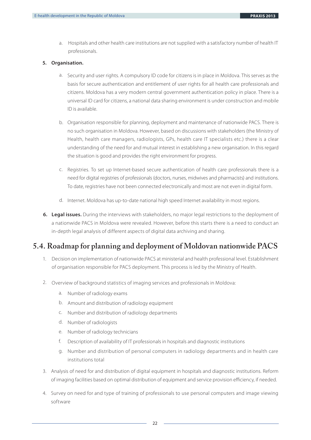a. Hospitals and other health care institutions are not supplied with a satisfactory number of health IT professionals.

#### **5. Organisation.**

- a. Security and user rights. A compulsory ID code for citizens is in place in Moldova. This serves as the basis for secure authentication and entitlement of user rights for all health care professionals and citizens. Moldova has a very modern central government authentication policy in place. There is a universal ID card for citizens, a national data sharing environment is under construction and mobile ID is available.
- b. Organisation responsible for planning, deployment and maintenance of nationwide PACS. There is no such organisation in Moldova. However, based on discussions with stakeholders (the Ministry of Health, health care managers, radiologists, GPs, health care IT specialists etc.) there is a clear understanding of the need for and mutual interest in establishing a new organisation. In this regard the situation is good and provides the right environment for progress.
- c. Registries. To set up Internet-based secure authentication of health care professionals there is a need for digital registries of professionals (doctors, nurses, midwives and pharmacists) and institutions. To date, registries have not been connected electronically and most are not even in digital form.
- d. Internet. Moldova has up-to-date national high speed Internet availability in most regions.
- **Legal issues.** During the interviews with stakeholders, no major legal restrictions to the deployment of **6.** a nationwide PACS in Moldova were revealed. However, before this starts there is a need to conduct an in-depth legal analysis of different aspects of digital data archiving and sharing.

## **5.4. Roadmap for planning and deployment of Moldovan nationwide PACS**

- 1. Decision on implementation of nationwide PACS at ministerial and health professional level. Establishment of organisation responsible for PACS deployment. This process is led by the Ministry of Health.
- 2. Overview of background statistics of imaging services and professionals in Moldova:
	- a. Number of radiology exams
	- b. Amount and distribution of radiology equipment
	- c. Number and distribution of radiology departments
	- d. Number of radiologists
	- e. Number of radiology technicians
	- Description of availability of IT professionals in hospitals and diagnostic institutions f.
	- g. Number and distribution of personal computers in radiology departments and in health care institutions total
- 3. Analysis of need for and distribution of digital equipment in hospitals and diagnostic institutions. Reform of imaging facilities based on optimal distribution of equipment and service provision efficiency, if needed.
- 4. Survey on need for and type of training of professionals to use personal computers and image viewing software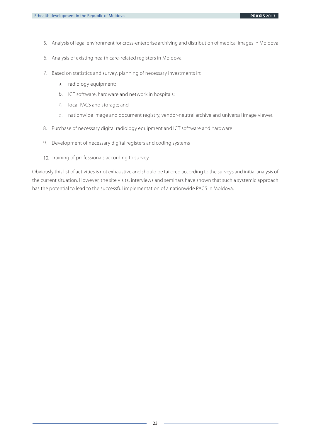- 5. Analysis of legal environment for cross-enterprise archiving and distribution of medical images in Moldova
- 6. Analysis of existing health care-related registers in Moldova
- 7. Based on statistics and survey, planning of necessary investments in:
	- a. radiology equipment;
	- b. ICT software, hardware and network in hospitals;
	- c. local PACS and storage; and
	- d. nationwide image and document registry, vendor-neutral archive and universal image viewer.
- 8. Purchase of necessary digital radiology equipment and ICT software and hardware
- 9. Development of necessary digital registers and coding systems
- 10. Training of professionals according to survey

Obviously this list of activities is not exhaustive and should be tailored according to the surveys and initial analysis of the current situation. However, the site visits, interviews and seminars have shown that such a systemic approach has the potential to lead to the successful implementation of a nationwide PACS in Moldova.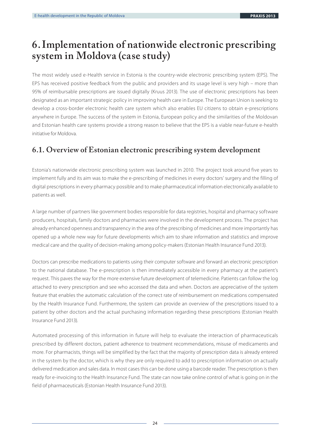## **6. Implementation of nationwide electronic prescribing system in Moldova (case study)**

The most widely used e-Health service in Estonia is the country-wide electronic prescribing system (EPS). The EPS has received positive feedback from the public and providers and its usage level is very high – more than 95% of reimbursable prescriptions are issued digitally (Kruus 2013). The use of electronic prescriptions has been designated as an important strategic policy in improving health care in Europe. The European Union is seeking to develop a cross-border electronic health care system which also enables EU citizens to obtain e-prescriptions anywhere in Europe. The success of the system in Estonia, European policy and the similarities of the Moldovan and Estonian health care systems provide a strong reason to believe that the EPS is a viable near-future e-health initiative for Moldova.

### **6.1. Overview of Estonian electronic prescribing system development**

Estonia's nationwide electronic prescribing system was launched in 2010. The project took around five years to implement fully and its aim was to make the e-prescribing of medicines in every doctors' surgery and the filling of digital prescriptions in every pharmacy possible and to make pharmaceutical information electronically available to patients as well.

A large number of partners like government bodies responsible for data registries, hospital and pharmacy software producers, hospitals, family doctors and pharmacies were involved in the development process. The project has already enhanced openness and transparency in the area of the prescribing of medicines and more importantly has opened up a whole new way for future developments which aim to share information and statistics and improve medical care and the quality of decision-making among policy-makers (Estonian Health Insurance Fund 2013).

Doctors can prescribe medications to patients using their computer software and forward an electronic prescription to the national database. The e-prescription is then immediately accessible in every pharmacy at the patient's request. This paves the way for the more extensive future development of telemedicine. Patients can follow the log attached to every prescription and see who accessed the data and when. Doctors are appreciative of the system feature that enables the automatic calculation of the correct rate of reimbursement on medications compensated by the Health Insurance Fund. Furthermore, the system can provide an overview of the prescriptions issued to a patient by other doctors and the actual purchasing information regarding these prescriptions (Estonian Health Insurance Fund 2013).

Automated processing of this information in future will help to evaluate the interaction of pharmaceuticals prescribed by different doctors, patient adherence to treatment recommendations, misuse of medicaments and more. For pharmacists, things will be simplified by the fact that the majority of prescription data is already entered in the system by the doctor, which is why they are only required to add to prescription information on actually delivered medication and sales data. In most cases this can be done using a barcode reader. The prescription is then ready for e-invoicing to the Health Insurance Fund. The state can now take online control of what is going on in the field of pharmaceuticals (Estonian Health Insurance Fund 2013).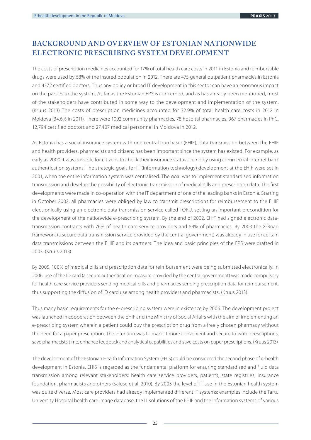## **BACKGROUND AND OVERVIEW OF ESTONIAN NATIONWIDE ELECTRONIC PRESCRIBING SYSTEM DEVELOPMENT**

The costs of prescription medicines accounted for 17% of total health care costs in 2011 in Estonia and reimbursable drugs were used by 68% of the insured population in 2012. There are 475 general outpatient pharmacies in Estonia and 4372 certified doctors. Thus any policy or broad IT development in this sector can have an enormous impact on the parties to the system. As far as the Estonian EPS is concerned, and as has already been mentioned, most of the stakeholders have contributed in some way to the development and implementation of the system. (Kruus 2013) The costs of prescription medicines accounted for 32.9% of total health care costs in 2012 in Moldova (34.6% in 2011). There were 1092 community pharmacies, 78 hospital pharmacies, 967 pharmacies in PhC, 12,794 certified doctors and 27,407 medical personnel in Moldova in 2012.

As Estonia has a social insurance system with one central purchaser (EHIF), data transmission between the EHIF and health providers, pharmacists and citizens has been important since the system has existed. For example, as early as 2000 it was possible for citizens to check their insurance status online by using commercial Internet bank authentication systems. The strategic goals for IT (information technology) development at the EHIF were set in 2001, when the entire information system was centralised. The goal was to implement standardised information transmission and develop the possibility of electronic transmission of medical bills and prescription data. The first developments were made in co-operation with the IT department of one of the leading banks in Estonia. Starting in October 2002, all pharmacies were obliged by law to transmit prescriptions for reimbursement to the EHIF electronically using an electronic data transmission service called TORU, setting an important precondition for the development of the nationwide e-prescribing system. By the end of 2002, EHIF had signed electronic datatransmission contracts with 76% of health care service providers and 54% of pharmacies. By 2003 the X-Road framework (a secure data transmission service provided by the central government) was already in use for certain data transmissions between the EHIF and its partners. The idea and basic principles of the EPS were drafted in 2003. (Kruus 2013)

By 2005, 100% of medical bills and prescription data for reimbursement were being submitted electronically. In 2006, use of the ID card (a secure authentication measure provided by the central government) was made compulsory for health care service providers sending medical bills and pharmacies sending prescription data for reimbursement, thus supporting the diffusion of ID card use among health providers and pharmacists. (Kruus 2013)

Thus many basic requirements for the e-prescribing system were in existence by 2006. The development project was launched in cooperation between the EHIF and the Ministry of Social Affairs with the aim of implementing an e-prescribing system wherein a patient could buy the prescription drug from a freely chosen pharmacy without the need for a paper prescription. The intention was to make it more convenient and secure to write prescriptions, save pharmacists time, enhance feedback and analytical capabilities and save costs on paper prescriptions. (Kruus 2013)

The development of the Estonian Health Information System (EHIS) could be considered the second phase of e-health development in Estonia. EHIS is regarded as the fundamental platform for ensuring standardised and fluid data transmission among relevant stakeholders: health care service providers, patients, state registries, insurance foundation, pharmacists and others (Saluse et al. 2010). By 2005 the level of IT use in the Estonian health system was quite diverse. Most care providers had already implemented different IT systems: examples include the Tartu University Hospital health care image database, the IT solutions of the EHIF and the information systems of various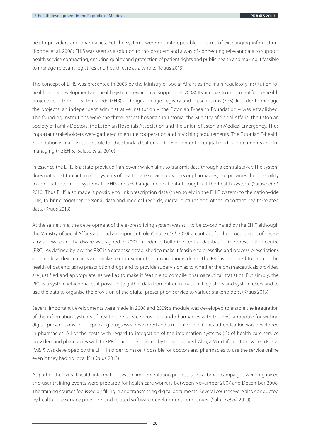health providers and pharmacies. Yet the systems were not interoperable in terms of exchanging information. (Koppel et al. 2008) EHIS was seen as a solution to this problem and a way of connecting relevant data to support health service contracting, ensuring quality and protection of patient rights and public health and making it feasible to manage relevant registries and health care as a whole. (Kruus 2013)

The concept of EHIS was presented in 2005 by the Ministry of Social Affairs as the main regulatory institution for health policy development and health system stewardship (Koppel et al. 2008). Its aim was to implement four e-health projects: electronic health records (EHR) and digital image, registry and prescriptions (EPS). In order to manage the projects, an independent administrative institution – the Estonian E-health Foundation – was established. The founding institutions were the three largest hospitals in Estonia, the Ministry of Social Affairs, the Estonian Society of Family Doctors, the Estonian Hospitals Association and the Union of Estonian Medical Emergency. Thus important stakeholders were gathered to ensure cooperation and matching requirements. The Estonian E-health Foundation is mainly responsible for the standardisation and development of digital medical documents and for managing the EHIS. (Saluse et al. 2010)

In essence the EHIS is a state-provided framework which aims to transmit data through a central server. The system does not substitute internal IT systems of health care service providers or pharmacies, but provides the possibility to connect internal IT systems to EHIS and exchange medical data throughout the health system. (Saluse et al. 2010) Thus EHIS also made it possible to link prescription data (then solely in the EHIF system) to the nationwide EHR, to bring together personal data and medical records, digital pictures and other important health-related data. (Kruus 2013)

At the same time, the development of the e-prescribing system was still to be co-ordinated by the EHIF, although the Ministry of Social Affairs also had an important role (Saluse et al. 2010): a contract for the procurement of necessary software and hardware was signed in 2007 in order to build the central database – the prescription centre (PRC). As defined by law, the PRC is a database established to make it feasible to prescribe and process prescriptions and medical device cards and make reimbursements to insured individuals. The PRC is designed to protect the health of patients using prescription drugs and to provide supervision as to whether the pharmaceuticals provided are justified and appropriate, as well as to make it feasible to compile pharmaceutical statistics. Put simply, the PRC is a system which makes it possible to gather data from different national registries and system users and to use the data to organise the provision of the digital prescription service to various stakeholders. (Kruus 2013)

Several important developments were made in 2008 and 2009: a module was developed to enable the integration of the information systems of health care service providers and pharmacies with the PRC, a module for writing digital prescriptions and dispensing drugs was developed and a module for patient authentication was developed in pharmacies. All of the costs with regard to integration of the information systems (IS) of health care service providers and pharmacies with the PRC had to be covered by those involved. Also, a Mini Information System Portal (MISP) was developed by the EHIF in order to make it possible for doctors and pharmacies to use the service online even if they had no local IS. (Kruus 2013)

As part of the overall health information system implementation process, several broad campaigns were organised and user training events were prepared for health care workers between November 2007 and December 2008. The training courses focussed on filling in and transmitting digital documents. Several courses were also conducted by health care service providers and related software development companies. (Saluse et al. 2010)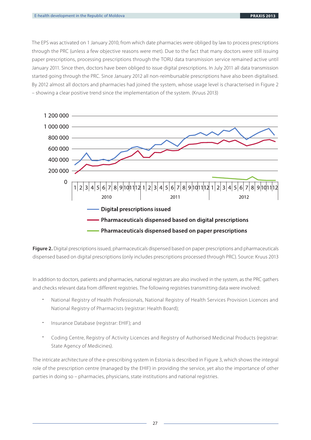The EPS was activated on 1 January 2010, from which date pharmacies were obliged by law to process prescriptions through the PRC (unless a few objective reasons were met). Due to the fact that many doctors were still issuing paper prescriptions, processing prescriptions through the TORU data transmission service remained active until January 2011. Since then, doctors have been obliged to issue digital prescriptions. In July 2011 all data transmission started going through the PRC. Since January 2012 all non-reimbursable prescriptions have also been digitalised. By 2012 almost all doctors and pharmacies had joined the system, whose usage level is characterised in Figure 2 – showing a clear positive trend since the implementation of the system. (Kruus 2013)



**Figure 2.** Digital prescriptions issued, pharmaceuticals dispensed based on paper prescriptions and pharmaceuticals dispensed based on digital prescriptions (only includes prescriptions processed through PRC). Source: Kruus 2013

In addition to doctors, patients and pharmacies, national registrars are also involved in the system, as the PRC gathers and checks relevant data from different registries. The following registries transmitting data were involved:

- National Registry of Health Professionals, National Registry of Health Services Provision Licences and National Registry of Pharmacists (registrar: Health Board);
- Insurance Database (registrar: EHIF); and
- Coding Centre, Registry of Activity Licences and Registry of Authorised Medicinal Products (registrar: State Agency of Medicines).

The intricate architecture of the e-prescribing system in Estonia is described in Figure 3, which shows the integral role of the prescription centre (managed by the EHIF) in providing the service, yet also the importance of other parties in doing so – pharmacies, physicians, state institutions and national registries.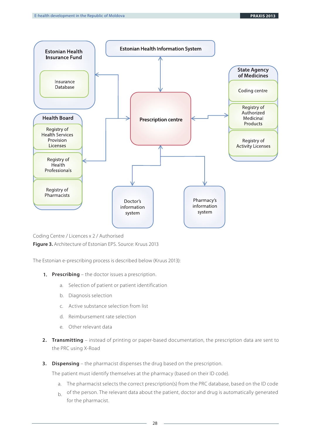

Coding Centre / Licences x 2 / Authorised **Figure 3.** Architecture of Estonian EPS. Source: Kruus 2013

The Estonian e-prescribing process is described below (Kruus 2013):

- **1. Prescribing** the doctor issues a prescription.
	- a. Selection of patient or patient identification
	- b. Diagnosis selection
	- Active substance selection from list c.
	- d. Reimbursement rate selection
	- Other relevant data e.
- **2. Transmitting** instead of printing or paper-based documentation, the prescription data are sent to the PRC using X-Road
- **3. Dispensing** the pharmacist dispenses the drug based on the prescription.

The patient must identify themselves at the pharmacy (based on their ID code).

- a. The pharmacist selects the correct prescription(s) from the PRC database, based on the ID code
- b. Of the person. The relevant data about the patient, doctor and drug is automatically generated for the pharmacist.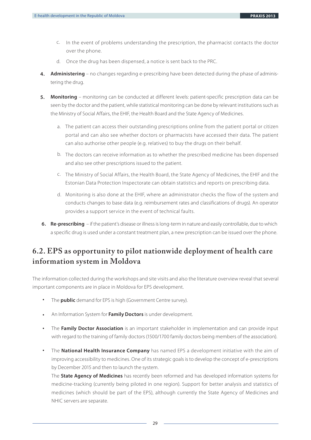- c. In the event of problems understanding the prescription, the pharmacist contacts the doctor over the phone.
- d. Once the drug has been dispensed, a notice is sent back to the PRC.
- **4. Administering** no changes regarding e-prescribing have been detected during the phase of administering the drug.
- **5. Monitoring** monitoring can be conducted at different levels: patient-specific prescription data can be seen by the doctor and the patient, while statistical monitoring can be done by relevant institutions such as the Ministry of Social Affairs, the EHIF, the Health Board and the State Agency of Medicines.
	- a. The patient can access their outstanding prescriptions online from the patient portal or citizen portal and can also see whether doctors or pharmacists have accessed their data. The patient can also authorise other people (e.g. relatives) to buy the drugs on their behalf.
	- b. The doctors can receive information as to whether the prescribed medicine has been dispensed and also see other prescriptions issued to the patient.
	- c. The Ministry of Social Affairs, the Health Board, the State Agency of Medicines, the EHIF and the Estonian Data Protection Inspectorate can obtain statistics and reports on prescribing data.
	- d. Monitoring is also done at the EHIF, where an administrator checks the flow of the system and conducts changes to base data (e.g. reimbursement rates and classifications of drugs). An operator provides a support service in the event of technical faults.
- **6. Re-prescribing**  if the patient's disease or illness is long-term in nature and easily controllable, due to which a specific drug is used under a constant treatment plan, a new prescription can be issued over the phone.

## **6.2. EPS as opportunity to pilot nationwide deployment of health care information system in Moldova**

The information collected during the workshops and site visits and also the literature overview reveal that several important components are in place in Moldova for EPS development.

- The **public** demand for EPS is high (Government Centre survey). **•**
- An Information System for **Family Doctors** is under development. **•**
- The **Family Doctor Association** is an important stakeholder in implementation and can provide input with regard to the training of family doctors (1500/1700 family doctors being members of the association). **•**
- The **National Health Insurance Company** has named EPS a development initiative with the aim of improving accessibility to medicines. One of its strategic goals is to develop the concept of e-prescriptions by December 2015 and then to launch the system. **•**

The **State Agency of Medicines** has recently been reformed and has developed information systems for medicine-tracking (currently being piloted in one region). Support for better analysis and statistics of medicines (which should be part of the EPS), although currently the State Agency of Medicines and NHIC servers are separate.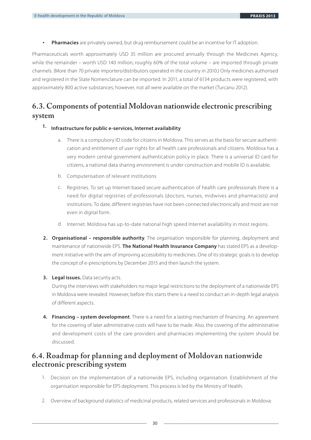**Pharmacies** are privately owned, but drug reimbursement could be an incentive for IT adoption. **•**

Pharmaceuticals worth approximately USD 35 million are procured annually through the Medicines Agency, while the remainder – worth USD 140 million; roughly 60% of the total volume – are imported through private channels. (More than 70 private importers/distributors operated in the country in 2010.) Only medicines authorised and registered in the State Nomenclature can be imported. In 2011, a total of 6134 products were registered, with approximately 800 active substances; however, not all were available on the market (Turcanu 2012).

## **6.3. Components of potential Moldovan nationwide electronic prescribing system**

#### **1. Infrastructure for public e-services, Internet availability**

- a. There is a compulsory ID code for citizens in Moldova. This serves as the basis for secure authentication and entitlement of user rights for all health care professionals and citizens. Moldova has a very modern central government authentication policy in place. There is a universal ID card for citizens, a national data sharing environment is under construction and mobile ID is available.
- b. Computerisation of relevant institutions
- c. Registries. To set up Internet-based secure authentication of health care professionals there is a need for digital registries of professionals (doctors, nurses, midwives and pharmacists) and institutions. To date, different registries have not been connected electronically and most are not even in digital form.
- d. Internet. Moldova has up-to-date national high speed Internet availability in most regions.
- **2. Organisational responsible authority**. The organisation responsible for planning, deployment and maintenance of nationwide EPS. **The National Health Insurance Company** has stated EPS as a development initiative with the aim of improving accessibility to medicines. One of its strategic goals is to develop the concept of e-prescriptions by December 2015 and then launch the system.
- **3. Legal issues.** Data security acts.

During the interviews with stakeholders no major legal restrictions to the deployment of a nationwide EPS in Moldova were revealed. However, before this starts there is a need to conduct an in-depth legal analysis of different aspects.

**4. Financing – system development**. There is a need for a lasting mechanism of financing. An agreement for the covering of later administrative costs will have to be made. Also, the covering of the administrative and development costs of the care providers and pharmacies implementing the system should be discussed.

### **6.4. Roadmap for planning and deployment of Moldovan nationwide electronic prescribing system**

- 1. Decision on the implementation of a nationwide EPS, including organisation. Establishment of the organisation responsible for EPS deployment. This process is led by the Ministry of Health.
- 2. Overview of background statistics of medicinal products, related services and professionals in Moldova: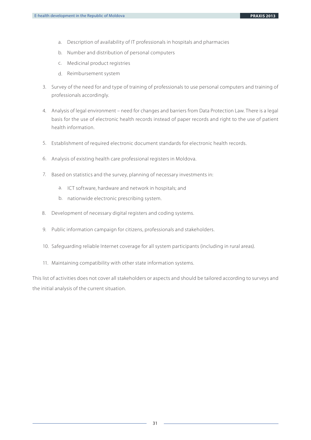- a. Description of availability of IT professionals in hospitals and pharmacies
- b. Number and distribution of personal computers
- c. Medicinal product registries
- d. Reimbursement system
- 3. Survey of the need for and type of training of professionals to use personal computers and training of professionals accordingly.
- 4. Analysis of legal environment need for changes and barriers from Data Protection Law. There is a legal basis for the use of electronic health records instead of paper records and right to the use of patient health information.
- 5. Establishment of required electronic document standards for electronic health records.
- 6. Analysis of existing health care professional registers in Moldova.
- 7. Based on statistics and the survey, planning of necessary investments in:
	- a. ICT software, hardware and network in hospitals; and
	- b. nationwide electronic prescribing system.
- Development of necessary digital registers and coding systems. 8.
- 9. Public information campaign for citizens, professionals and stakeholders.
- 10. Safeguarding reliable Internet coverage for all system participants (including in rural areas).
- 11. Maintaining compatibility with other state information systems.

This list of activities does not cover all stakeholders or aspects and should be tailored according to surveys and the initial analysis of the current situation.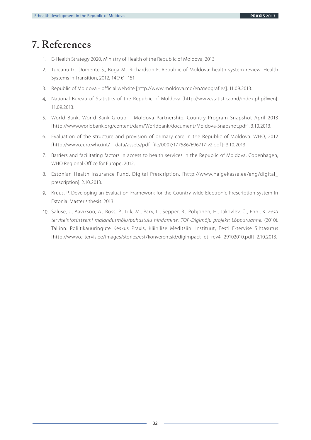# **7. References**

- 1. E-Health Strategy 2020, Ministry of Health of the Republic of Moldova, 2013
- 2. Turcanu G., Domente S., Buga M., Richardson E. Republic of Moldova: health system review. Health Systems in Transition, 2012, 14(7):1–151
- 3. Republic of Moldova official website [http://www.moldova.md/en/geografie/]. 11.09.2013.
- 4. National Bureau of Statistics of the Republic of Moldova [http://www.statistica.md/index.php?l=en]. 11.09.2013.
- 5. World Bank. World Bank Group Moldova Partnership, Country Program Snapshot April 2013 [http://www.worldbank.org/content/dam/Worldbank/document/Moldova-Snapshot.pdf]. 3.10.2013.
- 6. Evaluation of the structure and provision of primary care in the Republic of Moldova. WHO, 2012 [http://www.euro.who.int/\_\_data/assets/pdf\_file/0007/177586/E96717-v2.pdf]- 3.10.2013
- 7. Barriers and facilitating factors in access to health services in the Republic of Moldova. Copenhagen, WHO Regional Office for Europe, 2012.
- 8. Estonian Health Insurance Fund. Digital Prescription. [http://www.haigekassa.ee/eng/digital\_ prescription]. 2.10.2013.
- 9. Kruus, P. Developing an Evaluation Framework for the Country-wide Electronic Prescription system In Estonia. Master's thesis. 2013.
- 10. Saluse, J., Aaviksoo, A., Ross, P., Tiik, M., Parv, L., Sepper, R., Pohjonen, H., Jakovlev, Ü., Enni, K. Eesti terviseinfosüsteemi majandusmõju/puhastulu hindamine. TOF-Digimõju projekt: Lõpparuanne. (2010). Tallinn: Poliitikauuringute Keskus Praxis, Kliinilise Meditsiini Instituut, Eesti E-tervise Sihtasutus [http://www.e-tervis.ee/images/stories/est/konverentsid/digimpact\_et\_rev4\_29102010.pdf]. 2.10.2013.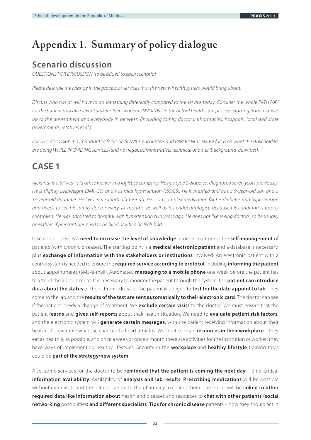# **Appendix 1. Summary of policy dialogue**

## **Scenario discussion**

QUESTIONS FOR DISCUSSION (to be added to each scenario)

Please describe the change in the process or services that the new e-health system would bring about.

Discuss who has or will have to do something differently compared to the service today. Consider the whole PATHWAY for the patient and all relevant stakeholders who are INVOLVED in the actual health care process, starting from relatives up to the government and everybody in between (including family doctors, pharmacies, hospitals, local and state governments, relatives et al.).

For THIS discussion it is important to focus on SERVICE encounters and EXPERIENCE. Please focus on what the stakeholders are doing WHILE PROVIDING services (and not legal, administrative, technical or other 'background' activities).

## **CASE 1**

Alexandr is a 57-year-old office worker in a logistics company. He has type 2 diabetes, diagnosed seven years previously. He is slightly overweight (BMI=30) and has mild hypertension (155/85). He is married and has a 9-year-old son and a 13-year-old daughter. He lives in a suburb of Chisinau. He is on complex medication for his diabetes and hypertension and needs to see his family doctor every six months, as well as his endocrinologist, because his condition is poorly controlled. He was admitted to hospital with hypertension two years ago. He does not like seeing doctors, so he usually goes there if prescriptions need to be filled or when he feels bad.

Discussion: There is a **need to increase the level of knowledge** in order to improve the **self-management** of patients (with chronic diseases). The starting point is a **medical electronic patient** and a database is necessary, plus **exchange of information with the stakeholders or institutions** involved. An electronic patient with a central system is needed to ensure the **required service according to protocol**, including **informing the patient** about appointments (SMS/e-mail). Automated **messaging to a mobile phone** one week before the patient has to attend the appointment. It is necessary to monitor the patient through the system: the **patient can introduce data about the status** of their chronic disease. The patient is obliged to **test for the date appoint to lab**. They come to the lab and the **results of the test are sent automatically to their electronic card**. The doctor can see if the patient needs a change of treatment. We **exclude certain visits** to the doctor. We must ensure that the patient **learns** and **gives self-reports** about their health situation. We need to **evaluate patient risk factors**, and the electronic system will **generate certain messages**, with the patient receiving information about their health – for example what the chance of a heart attack is. We create certain **resources in their workplace** – they eat as healthily as possible, and once a week or once a month there are activities for the institution or worker: they have ways of implementing healthy lifestyles. Security in the **workplace** and **healthy lifestyle** training tools could be **part of the strategy/new system**.

Also, some services for the doctor to be **reminded that the patient is coming the next day** – time-critical **information availability**. Availability of **analysis and lab results**. **Prescribing medications** will be possible without extra visits and the patient can go to the pharmacy to collect them. The portal will be l**inked to other required data like information about** health and diseases and resources to **chat with other patients (social networking** possibilities) **and different specialists**. **Tips for chronic disease** patients – how they should act in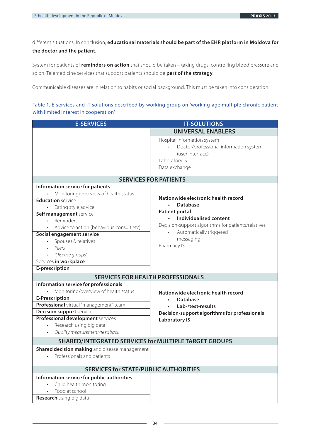different situations. In conclusion, **educational materials should be part of the EHR platform in Moldova for the doctor and the patient**.

System for patients of **reminders on action** that should be taken – taking drugs, controlling blood pressure and so on. Telemedicine services that support patients should be **part of the strategy**.

Communicable diseases are in relation to habits or social background. This must be taken into consideration.

#### Table 1. E-services and IT solutions described by working group on 'working-age multiple chronic patient with limited interest in cooperation'

| <b>E-SERVICES</b>                                                                                                  | <b>IT-SOLUTIONS</b>                                                                                                                                                                              |  |  |  |
|--------------------------------------------------------------------------------------------------------------------|--------------------------------------------------------------------------------------------------------------------------------------------------------------------------------------------------|--|--|--|
|                                                                                                                    | <b>UNIVERSAL ENABLERS</b>                                                                                                                                                                        |  |  |  |
|                                                                                                                    | Hospital information system<br>Doctor/professional information system<br>(user interface)<br>Laboratory IS<br>Data exchange                                                                      |  |  |  |
| <b>SERVICES FOR PATIENTS</b>                                                                                       |                                                                                                                                                                                                  |  |  |  |
| Information service for patients                                                                                   |                                                                                                                                                                                                  |  |  |  |
| Monitoring/overview of health status                                                                               |                                                                                                                                                                                                  |  |  |  |
| <b>Education</b> service<br>Eating style advice                                                                    | Nationwide electronic health record<br><b>Database</b><br>$\bullet$<br><b>Patient portal</b><br><b>Individualised content</b><br>$\bullet$<br>Decision-support algorithms for patients/relatives |  |  |  |
| Self management service<br>Reminders<br>Advice to action (behaviour, consult etc)                                  |                                                                                                                                                                                                  |  |  |  |
| Social engagement service                                                                                          | Automatically triggered                                                                                                                                                                          |  |  |  |
| Spouses & relatives<br>Peers<br>'Disease groups'                                                                   | messaging<br>Pharmacy IS                                                                                                                                                                         |  |  |  |
| Services in workplace                                                                                              |                                                                                                                                                                                                  |  |  |  |
| E-prescription                                                                                                     |                                                                                                                                                                                                  |  |  |  |
| <b>SERVICES FOR HEALTH PROFESSIONALS</b>                                                                           |                                                                                                                                                                                                  |  |  |  |
| Information service for professionals                                                                              |                                                                                                                                                                                                  |  |  |  |
| Monitoring/overview of health status                                                                               | Nationwide electronic health record                                                                                                                                                              |  |  |  |
| <b>E-Prescription</b>                                                                                              | <b>Database</b>                                                                                                                                                                                  |  |  |  |
| Professional virtual "management" team                                                                             | Lab-/test-results                                                                                                                                                                                |  |  |  |
| <b>Decision support service</b>                                                                                    | Decision-support algorithms for professionals                                                                                                                                                    |  |  |  |
| Professional development services<br>Research using big data<br>$\bullet$                                          | <b>Laboratory IS</b>                                                                                                                                                                             |  |  |  |
| Quality measurement/feedback                                                                                       |                                                                                                                                                                                                  |  |  |  |
| <b>SHARED/INTEGRATED SERVICES for MULTIPLE TARGET GROUPS</b>                                                       |                                                                                                                                                                                                  |  |  |  |
| Shared decision making and disease management                                                                      |                                                                                                                                                                                                  |  |  |  |
| Professionals and patients                                                                                         |                                                                                                                                                                                                  |  |  |  |
| <b>SERVICES for STATE/PUBLIC AUTHORITIES</b>                                                                       |                                                                                                                                                                                                  |  |  |  |
| Information service for public authorities<br>Child health monitoring<br>Food at school<br>Research using big data |                                                                                                                                                                                                  |  |  |  |
|                                                                                                                    |                                                                                                                                                                                                  |  |  |  |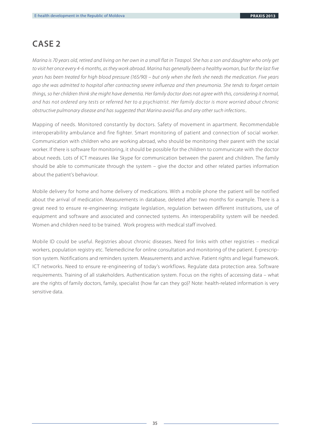## **CASE 2**

Marina is 70 years old, retired and living on her own in a small flat in Tiraspol. She has a son and daughter who only get to visit her once every 4-6 months, as they work abroad. Marina has generally been a healthy woman, but for the last five years has been treated for high blood pressure (165/90) – but only when she feels she needs the medication. Five years ago she was admitted to hospital after contracting severe influenza and then pneumonia. She tends to forget certain things, so her children think she might have dementia. Her family doctor does not agree with this, considering it normal, and has not ordered any tests or referred her to a psychiatrist. Her family doctor is more worried about chronic obstructive pulmonary disease and has suggested that Marina avoid flus and any other such infections..

Mapping of needs. Monitored constantly by doctors. Safety of movement in apartment. Recommendable interoperability ambulance and fire fighter. Smart monitoring of patient and connection of social worker. Communication with children who are working abroad, who should be monitoring their parent with the social worker. If there is software for monitoring, it should be possible for the children to communicate with the doctor about needs. Lots of ICT measures like Skype for communication between the parent and children. The family should be able to communicate through the system – give the doctor and other related parties information about the patient's behaviour.

Mobile delivery for home and home delivery of medications. With a mobile phone the patient will be notified about the arrival of medication. Measurements in database, deleted after two months for example. There is a great need to ensure re-engineering: instigate legislation, regulation between different institutions, use of equipment and software and associated and connected systems. An interoperability system will be needed. Women and children need to be trained. Work progress with medical staff involved.

Mobile ID could be useful. Registries about chronic diseases. Need for links with other registries – medical workers, population registry etc. Telemedicine for online consultation and monitoring of the patient. E-prescription system. Notifications and reminders system. Measurements and archive. Patient rights and legal framework. ICT networks. Need to ensure re-engineering of today's workflows. Regulate data protection area. Software requirements. Training of all stakeholders. Authentication system. Focus on the rights of accessing data – what are the rights of family doctors, family, specialist (how far can they go)? Note: health-related information is very sensitive data.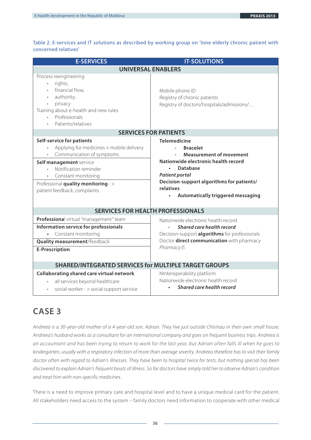Table 2. E-services and IT solutions as described by working group on 'lone elderly chronic patient with concerned relatives'

| <b>E-SERVICES</b>                                                                                                                                                                                                                                    | <b>IT-SOLUTIONS</b>                                                                                                                                                                                                                                                                       |  |  |  |  |
|------------------------------------------------------------------------------------------------------------------------------------------------------------------------------------------------------------------------------------------------------|-------------------------------------------------------------------------------------------------------------------------------------------------------------------------------------------------------------------------------------------------------------------------------------------|--|--|--|--|
| <b>UNIVERSAL ENABLERS</b>                                                                                                                                                                                                                            |                                                                                                                                                                                                                                                                                           |  |  |  |  |
| Process reengineering<br>rights,<br>$\bullet$<br>financial flow,<br>authority,<br>privacy<br>Training about e-health and new rules<br>Professionals<br>Patients/relatives                                                                            | Mobile phone ID<br>Registry of chronic patients<br>Registry of doctors/hospitals/admissions/                                                                                                                                                                                              |  |  |  |  |
|                                                                                                                                                                                                                                                      | <b>SERVICES FOR PATIENTS</b>                                                                                                                                                                                                                                                              |  |  |  |  |
| Self-service for patients<br>Applying for medicines + mobile delivery<br>Communication of symptoms<br>Self management service<br>Notification reminder<br>Constant monitoring<br>Professional quality monitoring - ><br>patient feedback, complaints | <b>Telemedicine</b><br><b>Bracelet</b><br>$\overline{a}$<br><b>Measurement of movement</b><br>Nationwide electronic health record<br><b>Database</b><br><b>Patient portal</b><br>Decision-support algorithms for patients/<br>relatives<br>Automatically triggered messaging<br>$\bullet$ |  |  |  |  |
| <b>SERVICES FOR HEALTH PROFESSIONALS</b>                                                                                                                                                                                                             |                                                                                                                                                                                                                                                                                           |  |  |  |  |
| Professional virtual "management" team<br>Information service for professionals<br>Constant monitoring<br>Quality measurement/feedback<br><b>E-Prescription</b>                                                                                      | Nationwide electronic health record<br>Shared care health record<br>Decision-support algorithms for professionals<br>Doctor direct communication with pharmacy<br>Pharmacy IS                                                                                                             |  |  |  |  |
| <b>SHARED/INTEGRATED SERVICES for MULTIPLE TARGET GROUPS</b>                                                                                                                                                                                         |                                                                                                                                                                                                                                                                                           |  |  |  |  |
| Collaborating shared care virtual network<br>all services beyond healthcare<br>social worker - > social support service                                                                                                                              | NInteroperability platform<br>Nationwide electronic health record<br>Shared care health record                                                                                                                                                                                            |  |  |  |  |

## **CASE 3**

Andreea is a 30-year-old mother of a 4-year-old son, Adrian. They live just outside Chisinau in their own small house. Andreea's husband works as a consultant for an international company and goes on frequent business trips. Andreea is an accountant and has been trying to return to work for the last year, but Adrian often falls ill when he goes to kindergarten, usually with a respiratory infection of more than average severity. Andreea therefore has to visit their family doctor often with regard to Adrian's illnesses. They have been to hospital twice for tests, but nothing special has been discovered to explain Adrian's frequent bouts of illness. So far doctors have simply told her to observe Adrian's condition and treat him with non-specific medicines.

There is a need to improve primary care and hospital level and to have a unique medical card for the patient. All stakeholders need access to the system – family doctors need information to cooperate with other medical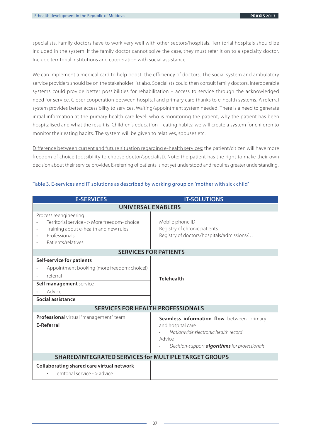specialists. Family doctors have to work very well with other sectors/hospitals. Territorial hospitals should be included in the system. If the family doctor cannot solve the case, they must refer it on to a specialty doctor. Include territorial institutions and cooperation with social assistance.

We can implement a medical card to help boost the efficiency of doctors. The social system and ambulatory service providers should be on the stakeholder list also. Specialists could then consult family doctors. Interoperable systems could provide better possibilities for rehabilitation – access to service through the acknowledged need for service. Closer cooperation between hospital and primary care thanks to e-health systems. A referral system provides better accessibility to services. Waiting/appointment system needed. There is a need to generate initial information at the primary health care level: who is monitoring the patient, why the patient has been hospitalised and what the result is. Children's education – eating habits: we will create a system for children to monitor their eating habits. The system will be given to relatives, spouses etc.

Difference between current and future situation regarding e-health services: the patient/citizen will have more freedom of choice (possibility to choose doctor/specialist). Note: the patient has the right to make their own decision about their service provider. E-referring of patients is not yet understood and requires greater understanding.

| <b>E-SERVICES</b>                                                                                                                                     | <b>IT-SOLUTIONS</b>                                                                                                                                                     |  |  |  |
|-------------------------------------------------------------------------------------------------------------------------------------------------------|-------------------------------------------------------------------------------------------------------------------------------------------------------------------------|--|--|--|
| <b>UNIVERSAL ENABLERS</b>                                                                                                                             |                                                                                                                                                                         |  |  |  |
| Process reengineering<br>Territorial service - > More freedom-choice<br>Training about e-health and new rules<br>Professionals<br>Patients/relatives  | Mobile phone ID<br>Registry of chronic patients<br>Registry of doctors/hospitals/admissions/                                                                            |  |  |  |
| <b>SERVICES FOR PATIENTS</b>                                                                                                                          |                                                                                                                                                                         |  |  |  |
| <b>Self-service for patients</b><br>Appointment booking (more freedom; choice!)<br>referral<br>Self management service<br>Advice<br>Social assistance | <b>Telehealth</b>                                                                                                                                                       |  |  |  |
| <b>SERVICES FOR HEALTH PROFESSIONALS</b>                                                                                                              |                                                                                                                                                                         |  |  |  |
| Professional virtual "management" team<br><b>E-Referral</b>                                                                                           | Seamless information flow between primary<br>and hospital care<br>Nationwide electronic health record<br>Advice<br>Decision-support <b>algorithms</b> for professionals |  |  |  |
| <b>SHARED/INTEGRATED SERVICES for MULTIPLE TARGET GROUPS</b>                                                                                          |                                                                                                                                                                         |  |  |  |
| Collaborating shared care virtual network<br>Territorial service - > advice                                                                           |                                                                                                                                                                         |  |  |  |

#### Table 3. E-services and IT solutions as described by working group on 'mother with sick child'